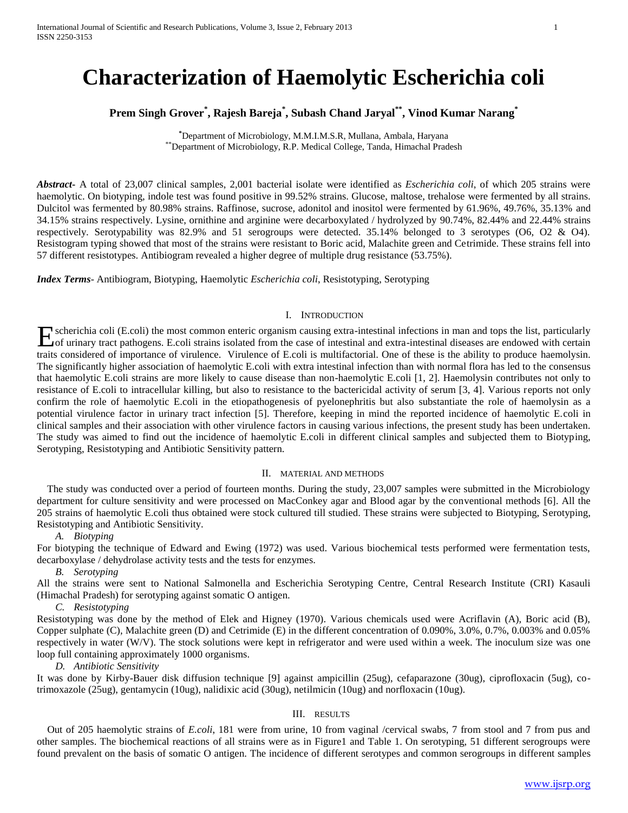# **Characterization of Haemolytic Escherichia coli**

## **Prem Singh Grover\* , Rajesh Bareja\* , Subash Chand Jaryal\*\*, Vinod Kumar Narang\***

**\***Department of Microbiology, M.M.I.M.S.R, Mullana, Ambala, Haryana \*\*Department of Microbiology, R.P. Medical College, Tanda, Himachal Pradesh

*Abstract***-** A total of 23,007 clinical samples, 2,001 bacterial isolate were identified as *Escherichia coli*, of which 205 strains were haemolytic. On biotyping, indole test was found positive in 99.52% strains. Glucose, maltose, trehalose were fermented by all strains. Dulcitol was fermented by 80.98% strains. Raffinose, sucrose, adonitol and inositol were fermented by 61.96%, 49.76%, 35.13% and 34.15% strains respectively. Lysine, ornithine and arginine were decarboxylated / hydrolyzed by 90.74%, 82.44% and 22.44% strains respectively. Serotypability was 82.9% and 51 serogroups were detected. 35.14% belonged to 3 serotypes (O6, O2 & O4). Resistogram typing showed that most of the strains were resistant to Boric acid, Malachite green and Cetrimide. These strains fell into 57 different resistotypes. Antibiogram revealed a higher degree of multiple drug resistance (53.75%).

*Index Terms*- Antibiogram, Biotyping, Haemolytic *Escherichia coli*, Resistotyping, Serotyping

## I. INTRODUCTION

scherichia coli (E.coli) the most common enteric organism causing extra-intestinal infections in man and tops the list, particularly Experience Coli (E.coli) the most common enteric organism causing extra-intestinal infections in man and tops the list, particularly of urinary tract pathogens. E.coli strains isolated from the case of intestinal and extra traits considered of importance of virulence. Virulence of E.coli is multifactorial. One of these is the ability to produce haemolysin. The significantly higher association of haemolytic E.coli with extra intestinal infection than with normal flora has led to the consensus that haemolytic E.coli strains are more likely to cause disease than non-haemolytic E.coli [1, 2]. Haemolysin contributes not only to resistance of E.coli to intracellular killing, but also to resistance to the bactericidal activity of serum [3, 4]. Various reports not only confirm the role of haemolytic E.coli in the etiopathogenesis of pyelonephritis but also substantiate the role of haemolysin as a potential virulence factor in urinary tract infection [5]. Therefore, keeping in mind the reported incidence of haemolytic E.coli in clinical samples and their association with other virulence factors in causing various infections, the present study has been undertaken. The study was aimed to find out the incidence of haemolytic E.coli in different clinical samples and subjected them to Biotyping, Serotyping, Resistotyping and Antibiotic Sensitivity pattern.

#### II. MATERIAL AND METHODS

 The study was conducted over a period of fourteen months. During the study, 23,007 samples were submitted in the Microbiology department for culture sensitivity and were processed on MacConkey agar and Blood agar by the conventional methods [6]. All the 205 strains of haemolytic E.coli thus obtained were stock cultured till studied. These strains were subjected to Biotyping, Serotyping, Resistotyping and Antibiotic Sensitivity.

*A. Biotyping* 

For biotyping the technique of Edward and Ewing (1972) was used. Various biochemical tests performed were fermentation tests, decarboxylase / dehydrolase activity tests and the tests for enzymes.

*B. Serotyping*

All the strains were sent to National Salmonella and Escherichia Serotyping Centre, Central Research Institute (CRI) Kasauli (Himachal Pradesh) for serotyping against somatic O antigen.

*C. Resistotyping* 

Resistotyping was done by the method of Elek and Higney (1970). Various chemicals used were Acriflavin (A), Boric acid (B), Copper sulphate (C), Malachite green (D) and Cetrimide (E) in the different concentration of 0.090%, 3.0%, 0.7%, 0.003% and 0.05% respectively in water (W/V). The stock solutions were kept in refrigerator and were used within a week. The inoculum size was one loop full containing approximately 1000 organisms.

*D. Antibiotic Sensitivity* 

It was done by Kirby-Bauer disk diffusion technique [9] against ampicillin (25ug), cefaparazone (30ug), ciprofloxacin (5ug), cotrimoxazole (25ug), gentamycin (10ug), nalidixic acid (30ug), netilmicin (10ug) and norfloxacin (10ug).

## III. RESULTS

 Out of 205 haemolytic strains of *E.coli*, 181 were from urine, 10 from vaginal /cervical swabs, 7 from stool and 7 from pus and other samples. The biochemical reactions of all strains were as in Figure1 and Table 1. On serotyping, 51 different serogroups were found prevalent on the basis of somatic O antigen. The incidence of different serotypes and common serogroups in different samples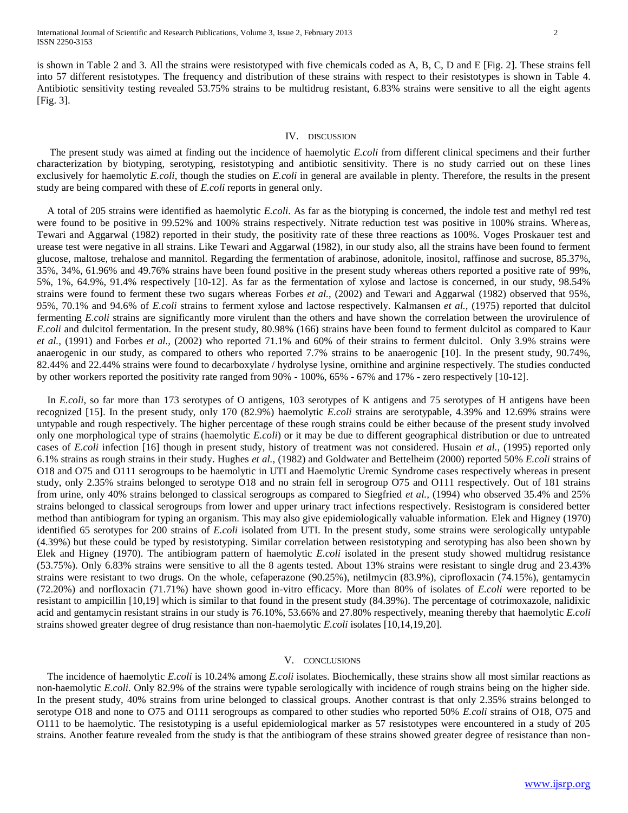is shown in Table 2 and 3. All the strains were resistotyped with five chemicals coded as A, B, C, D and E [Fig. 2]. These strains fell into 57 different resistotypes. The frequency and distribution of these strains with respect to their resistotypes is shown in Table 4. Antibiotic sensitivity testing revealed 53.75% strains to be multidrug resistant, 6.83% strains were sensitive to all the eight agents [Fig. 3].

#### IV. DISCUSSION

 The present study was aimed at finding out the incidence of haemolytic *E.coli* from different clinical specimens and their further characterization by biotyping, serotyping, resistotyping and antibiotic sensitivity. There is no study carried out on these lines exclusively for haemolytic *E.coli*, though the studies on *E.coli* in general are available in plenty. Therefore, the results in the present study are being compared with these of *E.coli* reports in general only.

 A total of 205 strains were identified as haemolytic *E.coli*. As far as the biotyping is concerned, the indole test and methyl red test were found to be positive in 99.52% and 100% strains respectively. Nitrate reduction test was positive in 100% strains. Whereas, Tewari and Aggarwal (1982) reported in their study, the positivity rate of these three reactions as 100%. Voges Proskauer test and urease test were negative in all strains. Like Tewari and Aggarwal (1982), in our study also, all the strains have been found to ferment glucose, maltose, trehalose and mannitol. Regarding the fermentation of arabinose, adonitole, inositol, raffinose and sucrose, 85.37%, 35%, 34%, 61.96% and 49.76% strains have been found positive in the present study whereas others reported a positive rate of 99%, 5%, 1%, 64.9%, 91.4% respectively [10-12]. As far as the fermentation of xylose and lactose is concerned, in our study, 98.54% strains were found to ferment these two sugars whereas Forbes *et al.,* (2002) and Tewari and Aggarwal (1982) observed that 95%, 95%, 70.1% and 94.6% of *E.coli* strains to ferment xylose and lactose respectively. Kalmansen *et al.,* (1975) reported that dulcitol fermenting *E.coli* strains are significantly more virulent than the others and have shown the correlation between the urovirulence of *E.coli* and dulcitol fermentation. In the present study, 80.98% (166) strains have been found to ferment dulcitol as compared to Kaur *et al.,* (1991) and Forbes *et al.,* (2002) who reported 71.1% and 60% of their strains to ferment dulcitol. Only 3.9% strains were anaerogenic in our study, as compared to others who reported 7.7% strains to be anaerogenic [10]. In the present study, 90.74%, 82.44% and 22.44% strains were found to decarboxylate / hydrolyse lysine, ornithine and arginine respectively. The studies conducted by other workers reported the positivity rate ranged from 90% - 100%, 65% - 67% and 17% - zero respectively [10-12].

 In *E.coli*, so far more than 173 serotypes of O antigens, 103 serotypes of K antigens and 75 serotypes of H antigens have been recognized [15]. In the present study, only 170 (82.9%) haemolytic *E.coli* strains are serotypable, 4.39% and 12.69% strains were untypable and rough respectively. The higher percentage of these rough strains could be either because of the present study involved only one morphological type of strains (haemolytic *E.coli*) or it may be due to different geographical distribution or due to untreated cases of *E.coli* infection [16] though in present study, history of treatment was not considered. Husain *et al.,* (1995) reported only 6.1% strains as rough strains in their study. Hughes *et al.,* (1982) and Goldwater and Bettelheim (2000) reported 50% *E.coli* strains of O18 and O75 and O111 serogroups to be haemolytic in UTI and Haemolytic Uremic Syndrome cases respectively whereas in present study, only 2.35% strains belonged to serotype O18 and no strain fell in serogroup O75 and O111 respectively. Out of 181 strains from urine, only 40% strains belonged to classical serogroups as compared to Siegfried *et al.,* (1994) who observed 35.4% and 25% strains belonged to classical serogroups from lower and upper urinary tract infections respectively. Resistogram is considered better method than antibiogram for typing an organism. This may also give epidemiologically valuable information. Elek and Higney (1970) identified 65 serotypes for 200 strains of *E.coli* isolated from UTI. In the present study, some strains were serologically untypable (4.39%) but these could be typed by resistotyping. Similar correlation between resistotyping and serotyping has also been shown by Elek and Higney (1970). The antibiogram pattern of haemolytic *E.coli* isolated in the present study showed multidrug resistance (53.75%). Only 6.83% strains were sensitive to all the 8 agents tested. About 13% strains were resistant to single drug and 23.43% strains were resistant to two drugs. On the whole, cefaperazone (90.25%), netilmycin (83.9%), ciprofloxacin (74.15%), gentamycin (72.20%) and norfloxacin (71.71%) have shown good in-vitro efficacy. More than 80% of isolates of *E.coli* were reported to be resistant to ampicillin [10,19] which is similar to that found in the present study (84.39%). The percentage of cotrimoxazole, nalidixic acid and gentamycin resistant strains in our study is 76.10%, 53.66% and 27.80% respectively, meaning thereby that haemolytic *E.coli* strains showed greater degree of drug resistance than non-haemolytic *E.coli* isolates [10,14,19,20].

### V. CONCLUSIONS

 The incidence of haemolytic *E.coli* is 10.24% among *E.coli* isolates. Biochemically, these strains show all most similar reactions as non-haemolytic *E.coli*. Only 82.9% of the strains were typable serologically with incidence of rough strains being on the higher side. In the present study, 40% strains from urine belonged to classical groups. Another contrast is that only 2.35% strains belonged to serotype O18 and none to O75 and O111 serogroups as compared to other studies who reported 50% *E.coli* strains of O18, O75 and O111 to be haemolytic. The resistotyping is a useful epidemiological marker as 57 resistotypes were encountered in a study of 205 strains. Another feature revealed from the study is that the antibiogram of these strains showed greater degree of resistance than non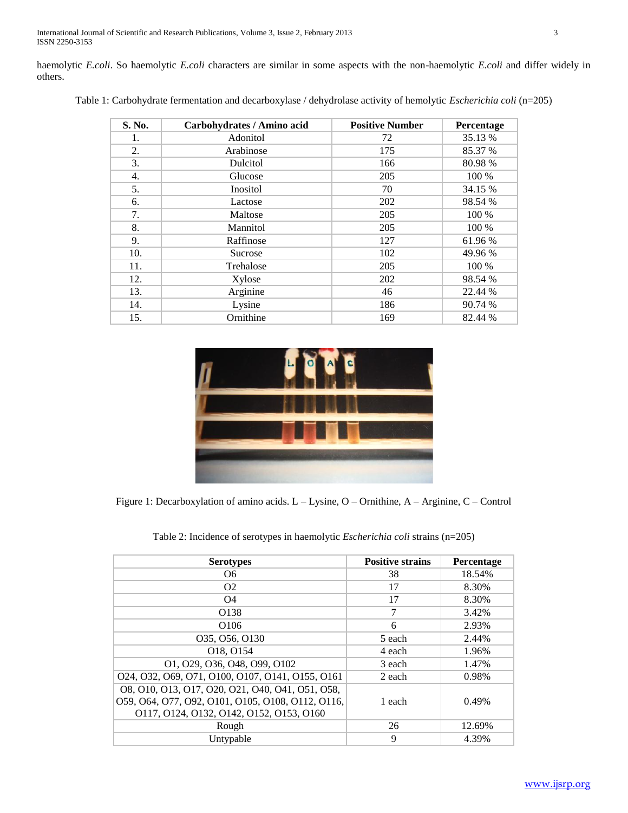haemolytic *E.coli*. So haemolytic *E.coli* characters are similar in some aspects with the non-haemolytic *E.coli* and differ widely in others.

| S. No. | Carbohydrates / Amino acid | <b>Positive Number</b> | Percentage |  |
|--------|----------------------------|------------------------|------------|--|
| 1.     | Adonitol                   | 72                     | 35.13 %    |  |
| 2.     | Arabinose                  | 175                    | 85.37 %    |  |
| 3.     | Dulcitol                   | 166                    | 80.98%     |  |
| 4.     | Glucose                    | 205                    | 100 %      |  |
| 5.     | Inositol                   | 70                     | 34.15 %    |  |
| 6.     | Lactose                    | 202                    | 98.54 %    |  |
| 7.     | Maltose                    | 205                    | 100 %      |  |
| 8.     | Mannitol                   | 205                    | 100 %      |  |
| 9.     | Raffinose                  | 127                    | 61.96 %    |  |
| 10.    | Sucrose                    | 102                    | 49.96 %    |  |
| 11.    | Trehalose                  | 205                    | 100 %      |  |
| 12.    | Xylose                     | 202                    | 98.54 %    |  |
| 13.    | Arginine                   | 46                     | 22.44 %    |  |
| 14.    | Lysine                     | 186                    | 90.74 %    |  |
| 15.    | Ornithine                  | 169                    | 82.44 %    |  |

Table 1: Carbohydrate fermentation and decarboxylase / dehydrolase activity of hemolytic *Escherichia coli* (n=205)



Figure 1: Decarboxylation of amino acids. L – Lysine, O – Ornithine, A – Arginine, C – Control

| Table 2: Incidence of serotypes in haemolytic <i>Escherichia coli</i> strains (n=205) |
|---------------------------------------------------------------------------------------|
|---------------------------------------------------------------------------------------|

| <b>Serotypes</b>                                                                                                                                  | <b>Positive strains</b> | Percentage |
|---------------------------------------------------------------------------------------------------------------------------------------------------|-------------------------|------------|
| О6                                                                                                                                                | 38                      | 18.54%     |
| O <sub>2</sub>                                                                                                                                    | 17                      | 8.30%      |
| 04                                                                                                                                                | 17                      | 8.30%      |
| O138                                                                                                                                              | 7                       | 3.42%      |
| O <sub>106</sub>                                                                                                                                  | 6                       | 2.93%      |
| 035, 056, 0130                                                                                                                                    | 5 each                  | 2.44%      |
| O18, O154                                                                                                                                         | 4 each                  | 1.96%      |
| 01, 029, 036, 048, 099, 0102                                                                                                                      | 3 each                  | 1.47%      |
| 024, 032, 069, 071, 0100, 0107, 0141, 0155, 0161                                                                                                  | 2 each                  | 0.98%      |
| 08, 010, 013, 017, 020, 021, 040, 041, 051, 058,<br>059, 064, 077, 092, 0101, 0105, 0108, 0112, 0116,<br>0117, 0124, 0132, 0142, 0152, 0153, 0160 | 1 each                  | 0.49%      |
| Rough                                                                                                                                             | 26                      | 12.69%     |
| Untypable                                                                                                                                         | 9                       | 4.39%      |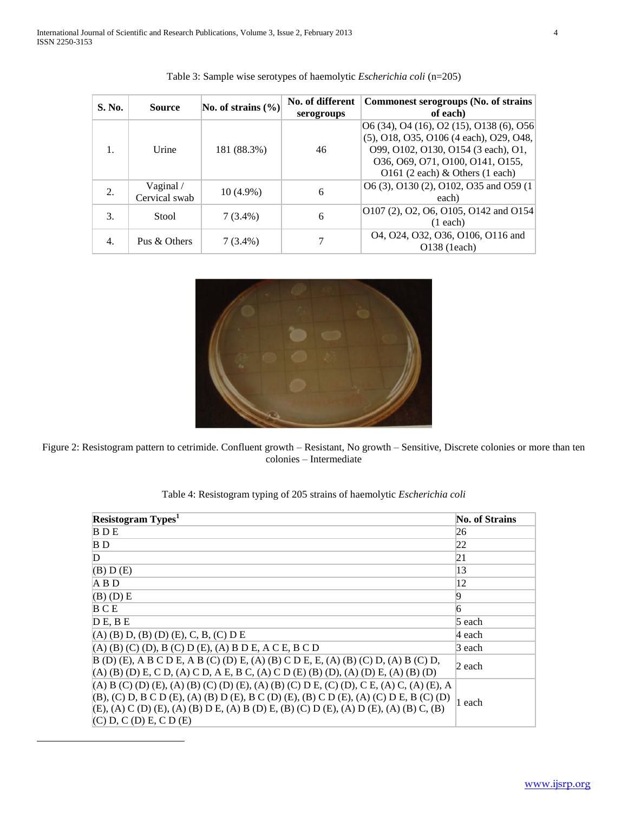| S. No. | <b>Source</b>                            | No. of strains $(\% )$ | No. of different<br>serogroups | <b>Commonest serogroups (No. of strains</b><br>of each)                                                                                                                                             |
|--------|------------------------------------------|------------------------|--------------------------------|-----------------------------------------------------------------------------------------------------------------------------------------------------------------------------------------------------|
|        | Urine                                    | 181 (88.3%)            | 46                             | $[06(34), 04(16), 02(15), 0138(6), 056]$<br>(5), O18, O35, O106 (4 each), O29, O48,<br>099, 0102, 0130, 0154 (3 each), 01,<br>036, 069, 071, 0100, 0141, 0155,<br>O161 (2 each) $&$ Others (1 each) |
| 2.     | Vaginal $\overline{\ }$<br>Cervical swab | $10(4.9\%)$            | 6                              | O6 (3), O130 (2), O102, O35 and O59 (1)<br>each)                                                                                                                                                    |
| 3.     | Stool                                    | $7(3.4\%)$             | 6                              | O107 (2), O2, O6, O105, O142 and O154<br>$(1$ each)                                                                                                                                                 |
| 4.     | Pus & Others                             | $7(3.4\%)$             |                                | 04, 024, 032, 036, 0106, 0116 and<br>$O138$ (1each)                                                                                                                                                 |

|  |  |  | Table 3: Sample wise serotypes of haemolytic <i>Escherichia coli</i> (n=205) |  |
|--|--|--|------------------------------------------------------------------------------|--|
|  |  |  |                                                                              |  |



Figure 2: Resistogram pattern to cetrimide. Confluent growth – Resistant, No growth – Sensitive, Discrete colonies or more than ten colonies – Intermediate

| Resistogram Types <sup>1</sup>                                                             | <b>No. of Strains</b> |  |
|--------------------------------------------------------------------------------------------|-----------------------|--|
| <b>BDE</b>                                                                                 | 26                    |  |
| B <sub>D</sub>                                                                             | 22                    |  |
| D                                                                                          | 21                    |  |
| (B) D(E)                                                                                   | 13                    |  |
| A B D                                                                                      | 12                    |  |
| $(B)$ (D) E                                                                                | 9                     |  |
| BCE                                                                                        | 6                     |  |
| D E, B E                                                                                   | 5 each                |  |
| $(A)$ (B) D, (B) (D) (E), C, B, (C) D E                                                    | 4 each                |  |
| $(A)$ (B) (C) (D), B (C) D (E), (A) B D E, A C E, B C D                                    | 3 each                |  |
| $B(D)$ (E), A B C D E, A B (C) (D) E, (A) (B) C D E, E, (A) (B) (C) D, (A) B (C) D,        | 2 each                |  |
| $(A)$ (B) (D) E, C D, (A) C D, A E, B C, (A) C D (E) (B) (D), (A) (D) E, (A) (B) (D)       |                       |  |
| $(A) B (C) (D) (E), (A) (B) (C) (D) (E), (A) (B) (C) D E, (C) (D), C E, (A) C, (A) (E), A$ |                       |  |
| $(B)$ , (C) D, B C D (E), (A) (B) D (E), B C (D) (E), (B) C D (E), (A) (C) D E, B (C) (D)  | 1 each                |  |
| (E), (A) C (D) (E), (A) (B) D E, (A) B (D) E, (B) (C) D (E), (A) D (E), (A) (B) C, (B)     |                       |  |
| (C) D, C (D) E, C D (E)                                                                    |                       |  |

 $\overline{a}$ 

Table 4: Resistogram typing of 205 strains of haemolytic *Escherichia coli*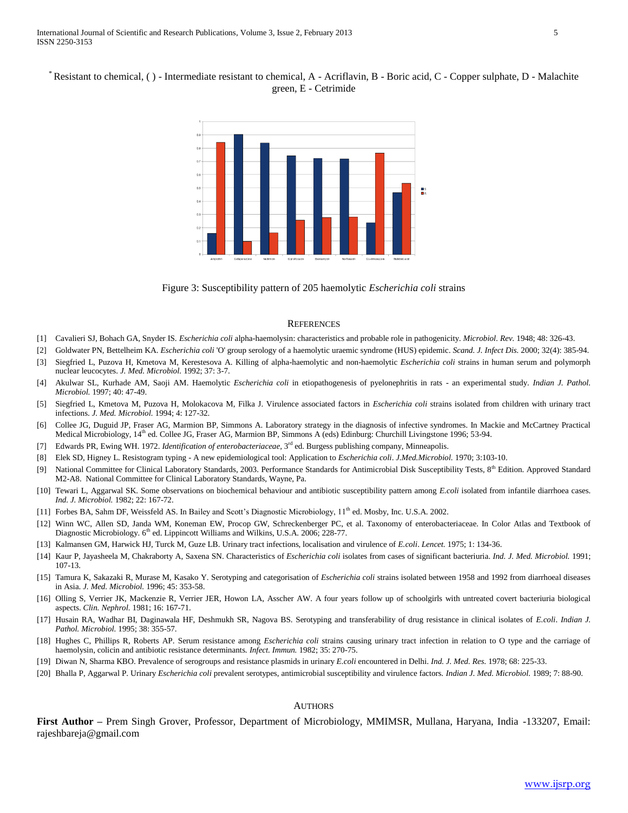\* Resistant to chemical, ( ) - Intermediate resistant to chemical, A - Acriflavin, B - Boric acid, C - Copper sulphate, D - Malachite green, E - Cetrimide



Figure 3: Susceptibility pattern of 205 haemolytic *Escherichia coli* strains

#### **REFERENCES**

- [1] Cavalieri SJ, Bohach GA, Snyder IS. *Escherichia coli* alpha-haemolysin: characteristics and probable role in pathogenicity. *Microbiol. Rev.* 1948; 48: 326-43.
- [2] Goldwater PN, Bettelheim KA. *Escherichia coli* 'O' group serology of a haemolytic uraemic syndrome (HUS) epidemic. *Scand. J. Infect Dis.* 2000; 32(4): 385-94.
- [3] Siegfried L, Puzova H, Kmetova M, Kerestesova A. Killing of alpha-haemolytic and non-haemolytic *Escherichia coli* strains in human serum and polymorph nuclear leucocytes. *J. Med. Microbiol.* 1992; 37: 3-7.
- [4] Akulwar SL, Kurhade AM, Saoji AM. Haemolytic *Escherichia coli* in etiopathogenesis of pyelonephritis in rats an experimental study. *Indian J. Pathol. Microbiol.* 1997; 40: 47-49.
- [5] Siegfried L, Kmetova M, Puzova H, Molokacova M, Filka J. Virulence associated factors in *Escherichia coli* strains isolated from children with urinary tract infections. *J. Med. Microbiol.* 1994; 4: 127-32.
- [6] Collee JG, Duguid JP, Fraser AG, Marmion BP, Simmons A. Laboratory strategy in the diagnosis of infective syndromes. In Mackie and McCartney Practical Medical Microbiology, 14<sup>th</sup> ed. Collee JG, Fraser AG, Marmion BP, Simmons A (eds) Edinburg: Churchill Livingstone 1996; 53-94.
- [7] Edwards PR, Ewing WH. 1972. *Identification of enterobacteriaceae,* 3 rd ed. Burgess publishing company, Minneapolis.
- [8] Elek SD, Higney L. Resistogram typing A new epidemiological tool: Application to *Escherichia coli*. *J.Med.Microbiol.* 1970; 3:103-10.
- [9] National Committee for Clinical Laboratory Standards, 2003. Performance Standards for Antimicrobial Disk Susceptibility Tests, 8<sup>th</sup> Edition. Approved Standard M2-A8. National Committee for Clinical Laboratory Standards, Wayne, Pa.
- [10] Tewari L, Aggarwal SK. Some observations on biochemical behaviour and antibiotic susceptibility pattern among *E.coli* isolated from infantile diarrhoea cases. *Ind. J. Microbiol.* 1982; 22: 167-72.
- [11] Forbes BA, Sahm DF, Weissfeld AS. In Bailey and Scott's Diagnostic Microbiology, 11<sup>th</sup> ed. Mosby, Inc. U.S.A. 2002.
- [12] Winn WC, Allen SD, Janda WM, Koneman EW, Procop GW, Schreckenberger PC, et al. Taxonomy of enterobacteriaceae. In Color Atlas and Textbook of Diagnostic Microbiology. 6<sup>th</sup> ed. Lippincott Williams and Wilkins, U.S.A. 2006; 228-77.
- [13] Kalmansen GM, Harwick HJ, Turck M, Guze LB. Urinary tract infections, localisation and virulence of *E.coli*. *Lencet.* 1975; 1: 134-36.
- [14] Kaur P, Jayasheela M, Chakraborty A, Saxena SN. Characteristics of *Escherichia coli* isolates from cases of significant bacteriuria. *Ind. J. Med. Microbiol.* 1991; 107-13.
- [15] Tamura K, Sakazaki R, Murase M, Kasako Y. Serotyping and categorisation of *Escherichia coli* strains isolated between 1958 and 1992 from diarrhoeal diseases in Asia. *J. Med. Microbiol.* 1996; 45: 353-58.
- [16] Olling S, Verrier JK, Mackenzie R, Verrier JER, Howon LA, Asscher AW. A four years follow up of schoolgirls with untreated covert bacteriuria biological aspects. *Clin. Nephrol.* 1981; 16: 167-71.
- [17] Husain RA, Wadhar BI, Daginawala HF, Deshmukh SR, Nagova BS. Serotyping and transferability of drug resistance in clinical isolates of *E.coli*. *Indian J. Pathol. Microbiol.* 1995; 38: 355-57.
- [18] Hughes C, Phillips R, Roberts AP. Serum resistance among *Escherichia coli* strains causing urinary tract infection in relation to O type and the carriage of haemolysin, colicin and antibiotic resistance determinants. *Infect. Immun.* 1982; 35: 270-75.
- [19] Diwan N, Sharma KBO. Prevalence of serogroups and resistance plasmids in urinary *E.coli* encountered in Delhi. *Ind. J. Med. Res.* 1978; 68: 225-33.
- [20] Bhalla P, Aggarwal P. Urinary *Escherichia coli* prevalent serotypes, antimicrobial susceptibility and virulence factors. *Indian J. Med. Microbiol.* 1989; 7: 88-90.

#### AUTHORS

**First Author –** Prem Singh Grover, Professor, Department of Microbiology, MMIMSR, Mullana, Haryana, India -133207, Email: rajeshbareja@gmail.com